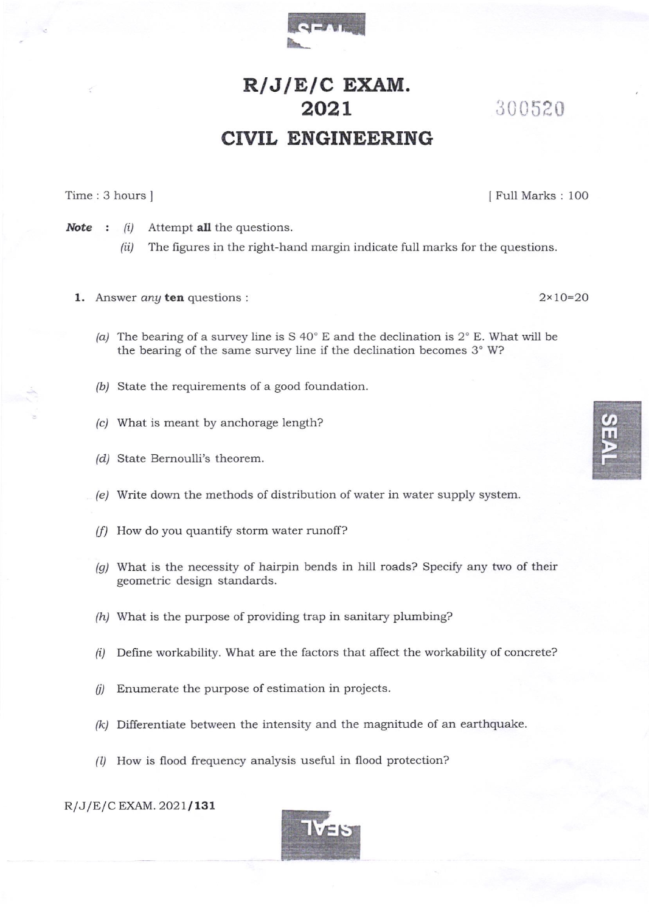

## $R/J/E/C$  EXAM. 202L CIVIL ENGINEERING

Time: 3 hours ]

I Fu1l Marks : 1OO

300 520

**Note** :  $(i)$  Attempt **all** the questions.

- (ii) The figures in the right-hand margin indicate full marks for the questions.
- 1. Answer any ten questions:  $2 \times 10 = 20$ 
	- (a) The bearing of a survey line is S 40° E and the declination is  $2^{\circ}$  E. What will be the bearing of the same survey line if the declination becomes 3° W?
	- (b) State the requirements of a good foundation.
	- (c/ What is meant by anchorage length?
	- (d) State Bernoulli's theorem.
	- (e) Write down the methods of distribution of water in water supply system.
	- (f) How do you quantify storm water runoff?
	- $(g)$  What is the necessity of hairpin bends in hill roads? Specify any two of their geometric design standards.
	- $(h)$  What is the purpose of providing trap in sanitary plumbing?
	- $(i)$  Define workability. What are the factors that affect the workability of concrete?
	- $(i)$  Enumerate the purpose of estimation in projects.
	- $(k)$  Differentiate between the intensity and the magnitude of an earthquake.
	- (l) How is flood frequency analysis useful in flood protection?

 $R/J/E/C$  EXAM. 2021/131

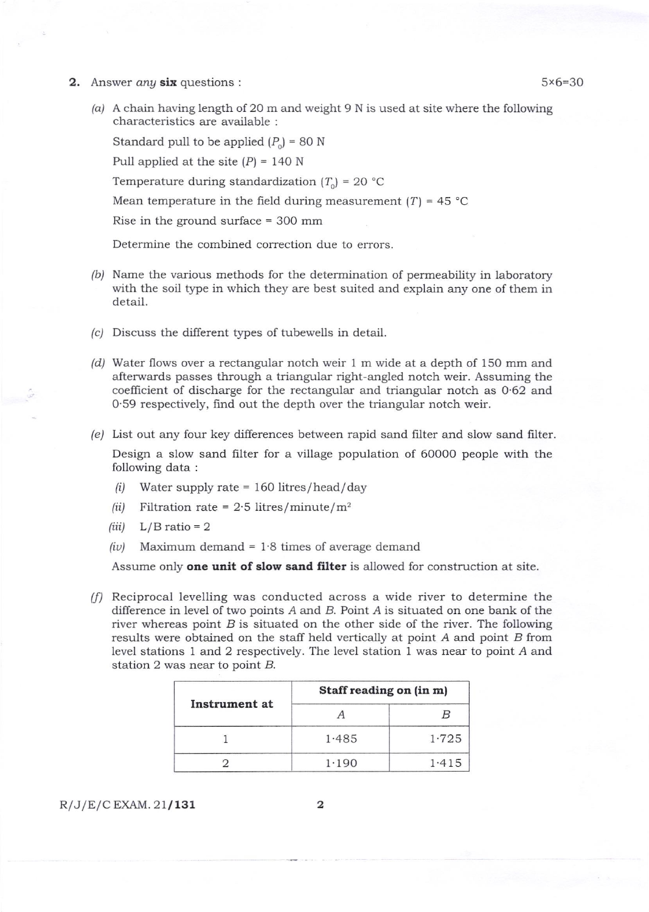- **2.** Answer any six questions :  $5\times6=30$ 
	- (aj A chain having length of 2O m and weight 9 N is used at site where the following characteristics are available :

Standard pull to be applied  $(P_0) = 80$  N

Pull applied at the site  $(P) = 140$  N

Temperature during standardization  $(T_0) = 20$  °C

Mean temperature in the field during measurement  $(T) = 45$  °C

Rise in the ground surface = 300 mm

Determine the combined corection due to errors.

- /b/ Name the various methods for the determination of permeability in laboratory with the soil type in which they are best suited and explain ary one of them in detail.
- (c) Discuss the different types of tubewells in detail.
- $(d)$  Water flows over a rectangular notch weir 1 m wide at a depth of 150 mm and afterwards passes through a triangular right-angled notch weir. Assuming the coefficient of discharge for the rectangular and triangular notch as 0.62 and 0'59 respectively, find out the depth over the triangular notch weir.
- (e/ List out any four key differences between rapid sand filter and slow sand fiIter.

Design a slow sand filter for a village population of 60000 people with the following data :

- (i) Water supply rate =  $160$  litres/head/day
- (ii) Filtration rate =  $2.5$  litres/minute/m<sup>2</sup>
- $(iii)$  L/B ratio = 2
- (iv) Maximum demand =  $1.8$  times of average demand

Assume only one unit of slow sand filter is allowed for construction at site.

/// Reciprocal levelling was conducted across a wide river to determine the difference in level of two points  $A$  and  $B$ . Point  $A$  is situated on one bank of the river whereas point  $B$  is situated on the other side of the river. The following results were obtained on the staff held vertically at point A and point B from level stations 1 and 2 respectively. The level station 1 was near to point A and station 2 was near to point  $B$ .

| Instrument at | Staff reading on (in m) |       |  |
|---------------|-------------------------|-------|--|
|               |                         |       |  |
|               | 1.485                   | 1.725 |  |
|               | 1.190                   | 1.415 |  |

 $R/J/E/C$  EXAM. 21/131